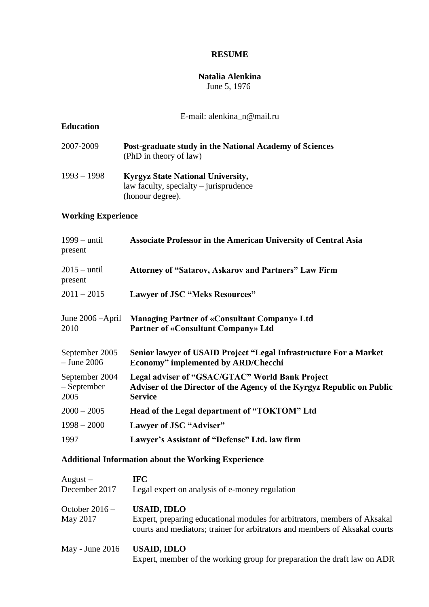## **RESUME**

#### **Natalia Alenkina**  June 5, 1976

### E-mail: alenkina\_n@mail.ru

## **Education**

- 2007-2009 **Post-graduate study in the National Academy of Sciences**  (PhD in theory of law)
- 1993 1998 **Kyrgyz State National University,**  law faculty, specialty – jurisprudence (honour degree).

## **Working Experience**

| <b>Associate Professor in the American University of Central Asia</b>                                                                       |
|---------------------------------------------------------------------------------------------------------------------------------------------|
| <b>Attorney of "Satarov, Askarov and Partners" Law Firm</b>                                                                                 |
| <b>Lawyer of JSC "Meks Resources"</b>                                                                                                       |
| June $2006 -$ April<br><b>Managing Partner of «Consultant Company» Ltd</b><br><b>Partner of «Consultant Company» Ltd</b>                    |
| Senior lawyer of USAID Project "Legal Infrastructure For a Market<br><b>Economy"</b> implemented by ARD/Checchi                             |
| Legal adviser of "GSAC/GTAC" World Bank Project<br>Adviser of the Director of the Agency of the Kyrgyz Republic on Public<br><b>Service</b> |
| Head of the Legal department of "TOKTOM" Ltd                                                                                                |
| Lawyer of JSC "Adviser"                                                                                                                     |
| Lawyer's Assistant of "Defense" Ltd. law firm                                                                                               |
|                                                                                                                                             |

### **Additional Information about the Working Experience**

| $August -$                   | IFC-                                                                                                                                                                           |
|------------------------------|--------------------------------------------------------------------------------------------------------------------------------------------------------------------------------|
| December 2017                | Legal expert on analysis of e-money regulation                                                                                                                                 |
| October $2016 -$<br>May 2017 | <b>USAID, IDLO</b><br>Expert, preparing educational modules for arbitrators, members of Aksakal<br>courts and mediators; trainer for arbitrators and members of Aksakal courts |
| May - June $2016$            | <b>USAID, IDLO</b><br>Expert, member of the working group for preparation the draft law on ADR                                                                                 |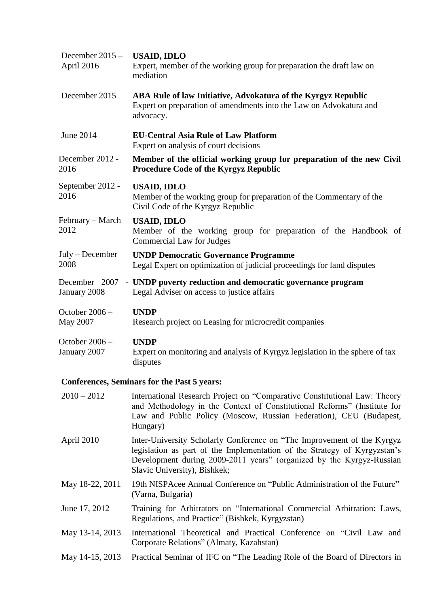| December $2015 -$              | <b>USAID, IDLO</b>                                                                                                                               |
|--------------------------------|--------------------------------------------------------------------------------------------------------------------------------------------------|
| April 2016                     | Expert, member of the working group for preparation the draft law on<br>mediation                                                                |
| December 2015                  | ABA Rule of law Initiative, Advokatura of the Kyrgyz Republic<br>Expert on preparation of amendments into the Law on Advokatura and<br>advocacy. |
| June 2014                      | <b>EU-Central Asia Rule of Law Platform</b><br>Expert on analysis of court decisions                                                             |
| December 2012 -<br>2016        | Member of the official working group for preparation of the new Civil<br><b>Procedure Code of the Kyrgyz Republic</b>                            |
| September 2012 -<br>2016       | <b>USAID, IDLO</b><br>Member of the working group for preparation of the Commentary of the<br>Civil Code of the Kyrgyz Republic                  |
| February – March<br>2012       | <b>USAID, IDLO</b><br>Member of the working group for preparation of the Handbook of<br>Commercial Law for Judges                                |
| July - December<br>2008        | <b>UNDP Democratic Governance Programme</b><br>Legal Expert on optimization of judicial proceedings for land disputes                            |
| December 2007<br>January 2008  | - UNDP poverty reduction and democratic governance program<br>Legal Adviser on access to justice affairs                                         |
| October 2006 -<br>May 2007     | <b>UNDP</b><br>Research project on Leasing for microcredit companies                                                                             |
| October 2006 -<br>January 2007 | <b>UNDP</b><br>Expert on monitoring and analysis of Kyrgyz legislation in the sphere of tax<br>disputes                                          |

# **Conferences, Seminars for the Past 5 years:**

| $2010 - 2012$   | International Research Project on "Comparative Constitutional Law: Theory<br>and Methodology in the Context of Constitutional Reforms" (Institute for<br>Law and Public Policy (Moscow, Russian Federation), CEU (Budapest,<br>Hungary)                      |
|-----------------|--------------------------------------------------------------------------------------------------------------------------------------------------------------------------------------------------------------------------------------------------------------|
| April 2010      | Inter-University Scholarly Conference on "The Improvement of the Kyrgyz<br>legislation as part of the Implementation of the Strategy of Kyrgyzstan's<br>Development during 2009-2011 years" (organized by the Kyrgyz-Russian<br>Slavic University), Bishkek; |
| May 18-22, 2011 | 19th NISPAcee Annual Conference on "Public Administration of the Future"<br>(Varna, Bulgaria)                                                                                                                                                                |
| June 17, 2012   | Training for Arbitrators on "International Commercial Arbitration: Laws,<br>Regulations, and Practice" (Bishkek, Kyrgyzstan)                                                                                                                                 |
| May 13-14, 2013 | International Theoretical and Practical Conference on "Civil Law and<br>Corporate Relations" (Almaty, Kazahstan)                                                                                                                                             |
| May 14-15, 2013 | Practical Seminar of IFC on "The Leading Role of the Board of Directors in                                                                                                                                                                                   |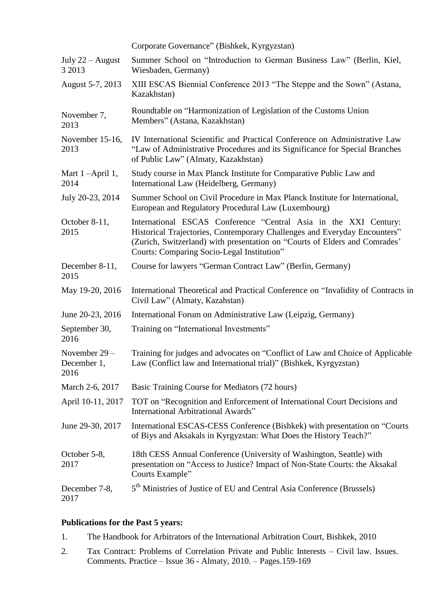|                                      | Corporate Governance" (Bishkek, Kyrgyzstan)                                                                                                                                                                                                                               |
|--------------------------------------|---------------------------------------------------------------------------------------------------------------------------------------------------------------------------------------------------------------------------------------------------------------------------|
| July $22 -$ August<br>3 2013         | Summer School on "Introduction to German Business Law" (Berlin, Kiel,<br>Wiesbaden, Germany)                                                                                                                                                                              |
| August 5-7, 2013                     | XIII ESCAS Biennial Conference 2013 "The Steppe and the Sown" (Astana,<br>Kazakhstan)                                                                                                                                                                                     |
| November 7,<br>2013                  | Roundtable on "Harmonization of Legislation of the Customs Union<br>Members" (Astana, Kazakhstan)                                                                                                                                                                         |
| November 15-16,<br>2013              | IV International Scientific and Practical Conference on Administrative Law<br>"Law of Administrative Procedures and its Significance for Special Branches<br>of Public Law" (Almaty, Kazakhstan)                                                                          |
| Mart 1-April 1,<br>2014              | Study course in Max Planck Institute for Comparative Public Law and<br>International Law (Heidelberg, Germany)                                                                                                                                                            |
| July 20-23, 2014                     | Summer School on Civil Procedure in Max Planck Institute for International,<br>European and Regulatory Procedural Law (Luxembourg)                                                                                                                                        |
| October 8-11,<br>2015                | International ESCAS Conference "Central Asia in the XXI Century:<br>Historical Trajectories, Contemporary Challenges and Everyday Encounters"<br>(Zurich, Switzerland) with presentation on "Courts of Elders and Comrades"<br>Courts: Comparing Socio-Legal Institution" |
| December 8-11,<br>2015               | Course for lawyers "German Contract Law" (Berlin, Germany)                                                                                                                                                                                                                |
| May 19-20, 2016                      | International Theoretical and Practical Conference on "Invalidity of Contracts in<br>Civil Law" (Almaty, Kazahstan)                                                                                                                                                       |
| June 20-23, 2016                     | International Forum on Administrative Law (Leipzig, Germany)                                                                                                                                                                                                              |
| September 30,<br>2016                | Training on "International Investments"                                                                                                                                                                                                                                   |
| November 29 -<br>December 1,<br>2016 | Training for judges and advocates on "Conflict of Law and Choice of Applicable<br>Law (Conflict law and International trial)" (Bishkek, Kyrgyzstan)                                                                                                                       |
| March 2-6, 2017                      | Basic Training Course for Mediators (72 hours)                                                                                                                                                                                                                            |
| April 10-11, 2017                    | TOT on "Recognition and Enforcement of International Court Decisions and<br><b>International Arbitrational Awards"</b>                                                                                                                                                    |
| June 29-30, 2017                     | International ESCAS-CESS Conference (Bishkek) with presentation on "Courts"<br>of Biys and Aksakals in Kyrgyzstan: What Does the History Teach?"                                                                                                                          |
| October 5-8,<br>2017                 | 18th CESS Annual Conference (University of Washington, Seattle) with<br>presentation on "Access to Justice? Impact of Non-State Courts: the Aksakal<br>Courts Example"                                                                                                    |
| December 7-8,<br>2017                | 5 <sup>th</sup> Ministries of Justice of EU and Central Asia Conference (Brussels)                                                                                                                                                                                        |

## **Publications for the Past 5 years:**

- 1. The Handbook for Arbitrators of the International Arbitration Court, Bishkek, 2010
- 2. Tax Contract: Problems of Correlation Private and Public Interests Civil law. Issues. Comments. Practice – Issue 36 - Almaty, 2010. – Pages.159-169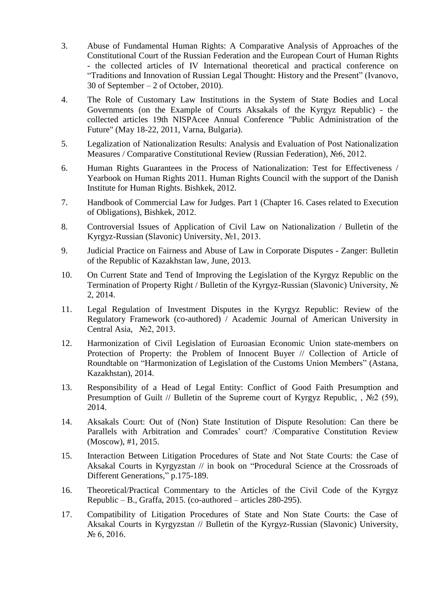- 3. Abuse of Fundamental Human Rights: A Comparative Analysis of Approaches of the Constitutional Court of the Russian Federation and the European Court of Human Rights - the collected articles of IV International theoretical and practical conference on "Traditions and Innovation of Russian Legal Thought: History and the Present" (Ivanovo, 30 of September – 2 of October, 2010).
- 4. The Role of Customary Law Institutions in the System of State Bodies and Local Governments (on the Example of Courts Aksakals of the Kyrgyz Republic) - the collected articles 19th NISPAcee Annual Conference "Public Administration of the Future" (May 18-22, 2011, Varna, Bulgaria).
- 5. Legalization of Nationalization Results: Analysis and Evaluation of Post Nationalization Measures / Comparative Constitutional Review (Russian Federation), №6, 2012.
- 6. Human Rights Guarantees in the Process of Nationalization: Test for Effectiveness / Yearbook on Human Rights 2011. Human Rights Council with the support of the Danish Institute for Human Rights. Bishkek, 2012.
- 7. Handbook of Commercial Law for Judges. Part 1 (Chapter 16. Cases related to Execution of Obligations), Bishkek, 2012.
- 8. Controversial Issues of Application of Civil Law on Nationalization / Bulletin of the Kyrgyz-Russian (Slavonic) University, №1, 2013.
- 9. Judicial Practice on Fairness and Abuse of Law in Corporate Disputes Zanger: Bulletin of the Republic of Kazakhstan law, June, 2013.
- 10. On Current State and Tend of Improving the Legislation of the Kyrgyz Republic on the Termination of Property Right / Bulletin of the Kyrgyz-Russian (Slavonic) University, No 2, 2014.
- 11. Legal Regulation of Investment Disputes in the Kyrgyz Republic: Review of the Regulatory Framework (co-authored) / Academic Journal of American University in Central Asia, №2, 2013.
- 12. Harmonization of Civil Legislation of Euroasian Economic Union state-members on Protection of Property: the Problem of Innocent Buyer // Collection of Article of Roundtable on "Harmonization of Legislation of the Customs Union Members" (Astana, Kazakhstan), 2014.
- 13. Responsibility of a Head of Legal Entity: Conflict of Good Faith Presumption and Presumption of Guilt // Bulletin of the Supreme court of Kyrgyz Republic, , No 2 (59), 2014.
- 14. Aksakals Court: Out of (Non) State Institution of Dispute Resolution: Can there be Parallels with Arbitration and Comrades' court? /Comparative Constitution Review (Moscow), #1, 2015.
- 15. Interaction Between Litigation Procedures of State and Not State Courts: the Case of Aksakal Courts in Kyrgyzstan // in book on "Procedural Science at the Crossroads of Different Generations," p.175-189.
- 16. Theoretical/Practical Commentary to the Articles of the Civil Code of the Kyrgyz Republic – B., Graffa, 2015. (co-authored – articles  $280-295$ ).
- 17. Compatibility of Litigation Procedures of State and Non State Courts: the Case of Aksakal Courts in Kyrgyzstan // Bulletin of the Kyrgyz-Russian (Slavonic) University,  $N_2$  6, 2016.